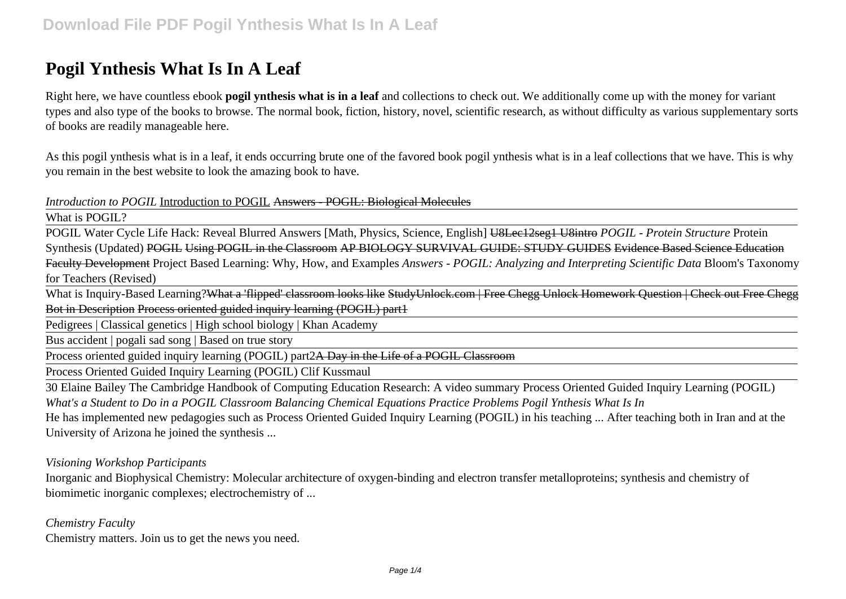# **Pogil Ynthesis What Is In A Leaf**

Right here, we have countless ebook **pogil ynthesis what is in a leaf** and collections to check out. We additionally come up with the money for variant types and also type of the books to browse. The normal book, fiction, history, novel, scientific research, as without difficulty as various supplementary sorts of books are readily manageable here.

As this pogil ynthesis what is in a leaf, it ends occurring brute one of the favored book pogil ynthesis what is in a leaf collections that we have. This is why you remain in the best website to look the amazing book to have.

*Introduction to POGIL* Introduction to POGIL Answers - POGIL: Biological Molecules

What is POGIL?

POGIL Water Cycle Life Hack: Reveal Blurred Answers [Math, Physics, Science, English] U8Lec12seg1 U8intro *POGIL - Protein Structure* Protein Synthesis (Updated) POGIL Using POGIL in the Classroom AP BIOLOGY SURVIVAL GUIDE: STUDY GUIDES Evidence Based Science Education Faculty Development Project Based Learning: Why, How, and Examples *Answers - POGIL: Analyzing and Interpreting Scientific Data* Bloom's Taxonomy for Teachers (Revised)

What is Inquiry-Based Learning?<del>What a 'flipped' classroom looks like StudyUnlock.com | Free Chegg Unlock Homework Question | Check out Free Chegg</del> Bot in Description Process oriented guided inquiry learning (POGIL) part1

Pedigrees | Classical genetics | High school biology | Khan Academy

Bus accident | pogali sad song | Based on true story

Process oriented guided inquiry learning (POGIL) part2A Day in the Life of a POGIL Classroom

Process Oriented Guided Inquiry Learning (POGIL) Clif Kussmaul

30 Elaine Bailey The Cambridge Handbook of Computing Education Research: A video summary Process Oriented Guided Inquiry Learning (POGIL) *What's a Student to Do in a POGIL Classroom Balancing Chemical Equations Practice Problems Pogil Ynthesis What Is In*

He has implemented new pedagogies such as Process Oriented Guided Inquiry Learning (POGIL) in his teaching ... After teaching both in Iran and at the University of Arizona he joined the synthesis ...

#### *Visioning Workshop Participants*

Inorganic and Biophysical Chemistry: Molecular architecture of oxygen-binding and electron transfer metalloproteins; synthesis and chemistry of biomimetic inorganic complexes; electrochemistry of ...

#### *Chemistry Faculty*

Chemistry matters. Join us to get the news you need.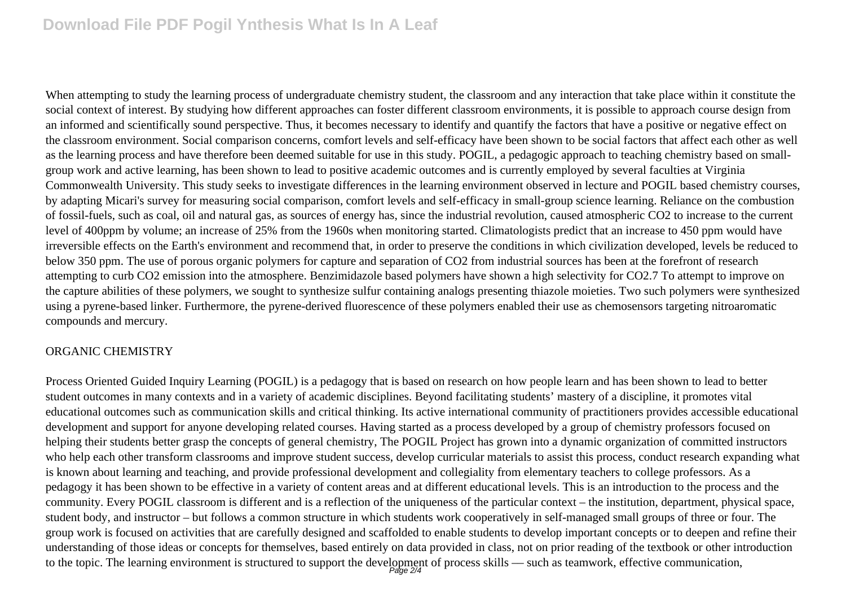## **Download File PDF Pogil Ynthesis What Is In A Leaf**

When attempting to study the learning process of undergraduate chemistry student, the classroom and any interaction that take place within it constitute the social context of interest. By studying how different approaches can foster different classroom environments, it is possible to approach course design from an informed and scientifically sound perspective. Thus, it becomes necessary to identify and quantify the factors that have a positive or negative effect on the classroom environment. Social comparison concerns, comfort levels and self-efficacy have been shown to be social factors that affect each other as well as the learning process and have therefore been deemed suitable for use in this study. POGIL, a pedagogic approach to teaching chemistry based on smallgroup work and active learning, has been shown to lead to positive academic outcomes and is currently employed by several faculties at Virginia Commonwealth University. This study seeks to investigate differences in the learning environment observed in lecture and POGIL based chemistry courses, by adapting Micari's survey for measuring social comparison, comfort levels and self-efficacy in small-group science learning. Reliance on the combustion of fossil-fuels, such as coal, oil and natural gas, as sources of energy has, since the industrial revolution, caused atmospheric CO2 to increase to the current level of 400ppm by volume; an increase of 25% from the 1960s when monitoring started. Climatologists predict that an increase to 450 ppm would have irreversible effects on the Earth's environment and recommend that, in order to preserve the conditions in which civilization developed, levels be reduced to below 350 ppm. The use of porous organic polymers for capture and separation of CO2 from industrial sources has been at the forefront of research attempting to curb CO2 emission into the atmosphere. Benzimidazole based polymers have shown a high selectivity for CO2.7 To attempt to improve on the capture abilities of these polymers, we sought to synthesize sulfur containing analogs presenting thiazole moieties. Two such polymers were synthesized using a pyrene-based linker. Furthermore, the pyrene-derived fluorescence of these polymers enabled their use as chemosensors targeting nitroaromatic compounds and mercury.

### ORGANIC CHEMISTRY

Process Oriented Guided Inquiry Learning (POGIL) is a pedagogy that is based on research on how people learn and has been shown to lead to better student outcomes in many contexts and in a variety of academic disciplines. Beyond facilitating students' mastery of a discipline, it promotes vital educational outcomes such as communication skills and critical thinking. Its active international community of practitioners provides accessible educational development and support for anyone developing related courses. Having started as a process developed by a group of chemistry professors focused on helping their students better grasp the concepts of general chemistry, The POGIL Project has grown into a dynamic organization of committed instructors who help each other transform classrooms and improve student success, develop curricular materials to assist this process, conduct research expanding what is known about learning and teaching, and provide professional development and collegiality from elementary teachers to college professors. As a pedagogy it has been shown to be effective in a variety of content areas and at different educational levels. This is an introduction to the process and the community. Every POGIL classroom is different and is a reflection of the uniqueness of the particular context – the institution, department, physical space, student body, and instructor – but follows a common structure in which students work cooperatively in self-managed small groups of three or four. The group work is focused on activities that are carefully designed and scaffolded to enable students to develop important concepts or to deepen and refine their understanding of those ideas or concepts for themselves, based entirely on data provided in class, not on prior reading of the textbook or other introduction to the topic. The learning environment is structured to support the development of process skills — such as teamwork, effective communication,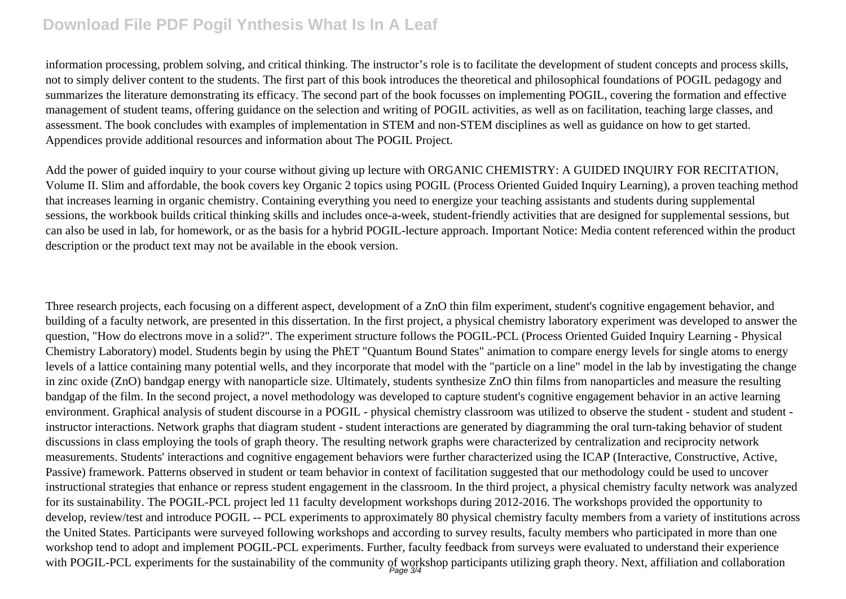### **Download File PDF Pogil Ynthesis What Is In A Leaf**

information processing, problem solving, and critical thinking. The instructor's role is to facilitate the development of student concepts and process skills, not to simply deliver content to the students. The first part of this book introduces the theoretical and philosophical foundations of POGIL pedagogy and summarizes the literature demonstrating its efficacy. The second part of the book focusses on implementing POGIL, covering the formation and effective management of student teams, offering guidance on the selection and writing of POGIL activities, as well as on facilitation, teaching large classes, and assessment. The book concludes with examples of implementation in STEM and non-STEM disciplines as well as guidance on how to get started. Appendices provide additional resources and information about The POGIL Project.

Add the power of guided inquiry to your course without giving up lecture with ORGANIC CHEMISTRY: A GUIDED INQUIRY FOR RECITATION, Volume II. Slim and affordable, the book covers key Organic 2 topics using POGIL (Process Oriented Guided Inquiry Learning), a proven teaching method that increases learning in organic chemistry. Containing everything you need to energize your teaching assistants and students during supplemental sessions, the workbook builds critical thinking skills and includes once-a-week, student-friendly activities that are designed for supplemental sessions, but can also be used in lab, for homework, or as the basis for a hybrid POGIL-lecture approach. Important Notice: Media content referenced within the product description or the product text may not be available in the ebook version.

Three research projects, each focusing on a different aspect, development of a ZnO thin film experiment, student's cognitive engagement behavior, and building of a faculty network, are presented in this dissertation. In the first project, a physical chemistry laboratory experiment was developed to answer the question, "How do electrons move in a solid?". The experiment structure follows the POGIL-PCL (Process Oriented Guided Inquiry Learning - Physical Chemistry Laboratory) model. Students begin by using the PhET "Quantum Bound States" animation to compare energy levels for single atoms to energy levels of a lattice containing many potential wells, and they incorporate that model with the "particle on a line" model in the lab by investigating the change in zinc oxide (ZnO) bandgap energy with nanoparticle size. Ultimately, students synthesize ZnO thin films from nanoparticles and measure the resulting bandgap of the film. In the second project, a novel methodology was developed to capture student's cognitive engagement behavior in an active learning environment. Graphical analysis of student discourse in a POGIL - physical chemistry classroom was utilized to observe the student - student and student instructor interactions. Network graphs that diagram student - student interactions are generated by diagramming the oral turn-taking behavior of student discussions in class employing the tools of graph theory. The resulting network graphs were characterized by centralization and reciprocity network measurements. Students' interactions and cognitive engagement behaviors were further characterized using the ICAP (Interactive, Constructive, Active, Passive) framework. Patterns observed in student or team behavior in context of facilitation suggested that our methodology could be used to uncover instructional strategies that enhance or repress student engagement in the classroom. In the third project, a physical chemistry faculty network was analyzed for its sustainability. The POGIL-PCL project led 11 faculty development workshops during 2012-2016. The workshops provided the opportunity to develop, review/test and introduce POGIL -- PCL experiments to approximately 80 physical chemistry faculty members from a variety of institutions across the United States. Participants were surveyed following workshops and according to survey results, faculty members who participated in more than one workshop tend to adopt and implement POGIL-PCL experiments. Further, faculty feedback from surveys were evaluated to understand their experience with POGIL-PCL experiments for the sustainability of the community of workshop participants utilizing graph theory. Next, affiliation and collaboration